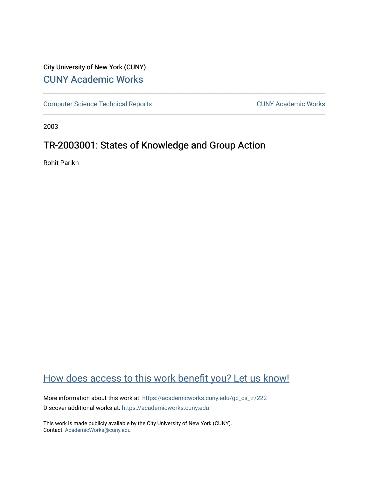## City University of New York (CUNY) [CUNY Academic Works](https://academicworks.cuny.edu/)

[Computer Science Technical Reports](https://academicworks.cuny.edu/gc_cs_tr) **CUNY Academic Works** CUNY Academic Works

2003

# TR-2003001: States of Knowledge and Group Action

Rohit Parikh

# [How does access to this work benefit you? Let us know!](http://ols.cuny.edu/academicworks/?ref=https://academicworks.cuny.edu/gc_cs_tr/222)

More information about this work at: [https://academicworks.cuny.edu/gc\\_cs\\_tr/222](https://academicworks.cuny.edu/gc_cs_tr/222)  Discover additional works at: [https://academicworks.cuny.edu](https://academicworks.cuny.edu/?)

This work is made publicly available by the City University of New York (CUNY). Contact: [AcademicWorks@cuny.edu](mailto:AcademicWorks@cuny.edu)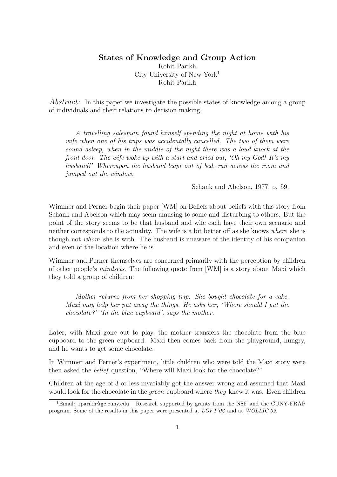#### States of Knowledge and Group Action Rohit Parikh City University of New York<sup>1</sup> Rohit Parikh

Abstract: In this paper we investigate the possible states of knowledge among a group of individuals and their relations to decision making.

A travelling salesman found himself spending the night at home with his wife when one of his trips was accidentally cancelled. The two of them were sound asleep, when in the middle of the night there was a loud knock at the front door. The wife woke up with a start and cried out, 'Oh my God! It's my husband!' Whereupon the husband leapt out of bed, ran across the room and jumped out the window.

Schank and Abelson, 1977, p. 59.

Wimmer and Perner begin their paper [WM] on Beliefs about beliefs with this story from Schank and Abelson which may seem amusing to some and disturbing to others. But the point of the story seems to be that husband and wife each have their own scenario and neither corresponds to the actuality. The wife is a bit better off as she knows where she is though not whom she is with. The husband is unaware of the identity of his companion and even of the location where he is.

Wimmer and Perner themselves are concerned primarily with the perception by children of other people's mindsets. The following quote from [WM] is a story about Maxi which they told a group of children:

Mother returns from her shopping trip. She bought chocolate for a cake. Maxi may help her put away the things. He asks her, 'Where should I put the chocolate?' 'In the blue cupboard', says the mother.

Later, with Maxi gone out to play, the mother transfers the chocolate from the blue cupboard to the green cupboard. Maxi then comes back from the playground, hungry, and he wants to get some chocolate.

In Wimmer and Perner's experiment, little children who were told the Maxi story were then asked the belief question, "Where will Maxi look for the chocolate?"

Children at the age of 3 or less invariably got the answer wrong and assumed that Maxi would look for the chocolate in the *green* cupboard where they knew it was. Even children

<sup>&</sup>lt;sup>1</sup>Email: rparikh@gc.cuny.edu Research supported by grants from the NSF and the CUNY-FRAP program. Some of the results in this paper were presented at LOFT'02 and at WOLLIC'02.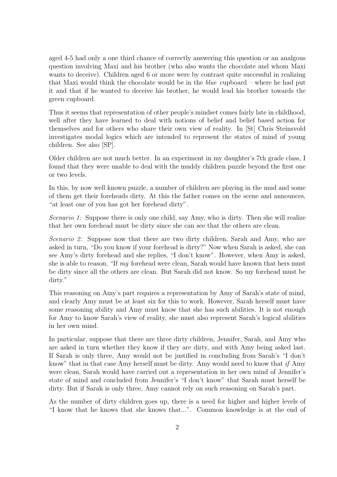aged 4-5 had only a one third chance of correctly answering this question or an analgous question involving Maxi and his brother (who also wants the chocolate and whom Maxi wants to deceive). Children aged 6 or more were by contrast quite successful in realizing that Maxi would think the chocolate would be in the *blue* cupboard – where he had put it and that if he wanted to deceive his brother, he would lead his brother towards the green cupboard.

Thus it seems that representation of other people's mindset comes fairly late in childhood, well after they have learned to deal with notions of belief and belief based action for themselves and for others who share their own view of reality. In [St] Chris Steinsvold investigates modal logics which are intended to represent the states of mind of young children. See also [SP].

Older children are not much better. In an experiment in my daughter's 7th grade class, I found that they were unable to deal with the muddy children puzzle beyond the first one or two levels.

In this, by now well known puzzle, a number of children are playing in the mud and some of them get their foreheads dirty. At this the father comes on the scene and announces, "at least one of you has got her forehead dirty".

Scenario 1: Suppose there is only one child, say Amy, who is dirty. Then she will realize that her own forehead must be dirty since she can see that the others are clean.

Scenario 2: Suppose now that there are two dirty children, Sarah and Amy, who are asked in turn, "Do you know if your forehead is dirty?" Now when Sarah is asked, she can see Amy's dirty forehead and she replies, "I don't know". However, when Amy is asked, she is able to reason, "If  $my$  forehead were clean, Sarah would have known that hers must be dirty since all the others are clean. But Sarah did not know. So my forehead must be dirty."

This reasoning on Amy's part requires a representation by Amy of Sarah's state of mind, and clearly Amy must be at least six for this to work. However, Sarah herself must have some reasoning ability and Amy must know that she has such abilities. It is not enough for Amy to know Sarah's view of reality, she must also represent Sarah's logical abilities in her own mind.

In particular, suppose that there are three dirty children, Jennifer, Sarah, and Amy who are asked in turn whether they know if they are dirty, and with Amy being asked last. If Sarah is only three, Amy would not be justified in concluding from Sarah's "I don't know" that in that case Amy herself must be dirty. Amy would need to know that if Amy were clean, Sarah would have carried out a representation in her own mind of Jennifer's state of mind and concluded from Jennifer's "I don't know" that Sarah must herself be dirty. But if Sarah is only three, Amy cannot rely on such reasoning on Sarah's part.

As the number of dirty children goes up, there is a need for higher and higher levels of "I know that he knows that she knows that...". Common knowledge is at the end of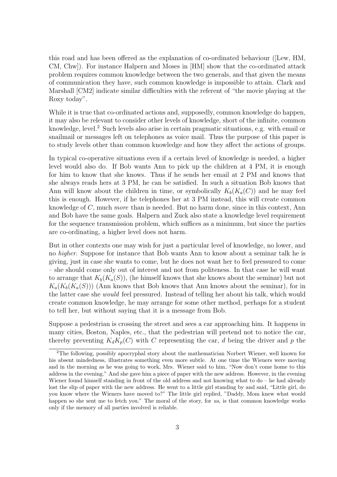this road and has been offered as the explanation of co-ordinated behaviour ([Lew, HM, CM, Chw]). For instance Halpern and Moses in [HM] show that the co-ordinated attack problem requires common knowledge between the two generals, and that given the means of communication they have, such common knowledge is impossible to attain. Clark and Marshall [CM2] indicate similar difficulties with the referent of "the movie playing at the Roxy today".

While it is true that co-ordinated actions and, supposedly, common knowledge do happen, it may also be relevant to consider other levels of knowledge, short of the infinite, common knowledge, level.<sup>2</sup> Such levels also arise in certain pragmatic situations, e.g. with email or snailmail or messages left on telephones as voice mail. Thus the purpose of this paper is to study levels other than common knowledge and how they affect the actions of groups.

In typical co-operative situations even if a certain level of knowledge is needed, a higher level would also do. If Bob wants Ann to pick up the children at 4 PM, it is enough for him to know that she knows. Thus if he sends her email at 2 PM and knows that she always reads hers at 3 PM, he can be satisfied. In such a situation Bob knows that Ann will know about the children in time, or symbolically  $K_b(K_a(C))$  and he may feel this is enough. However, if he telephones her at 3 PM instead, this will create common knowledge of  $C$ , much *more* than is needed. But no harm done, since in this context, Ann and Bob have the same goals. Halpern and Zuck also state a knowledge level requirement for the sequence transmission problem, which suffices as a minimum, but since the parties are co-ordinating, a higher level does not harm.

But in other contexts one may wish for just a particular level of knowledge, no lower, and no higher. Suppose for instance that Bob wants Ann to know about a seminar talk he is giving, just in case she wants to come, but he does not want her to feel pressured to come – she should come only out of interest and not from politeness. In that case he will want to arrange that  $K_b(K_a(S))$ , (he himself knows that she knows about the seminar) but not  $K_a(K_b(K_a(S)))$  (Ann knows that Bob knows that Ann knows about the seminar), for in the latter case she would feel pressured. Instead of telling her about his talk, which would create common knowledge, he may arrange for some other method, perhaps for a student to tell her, but without saying that it is a message from Bob.

Suppose a pedestrian is crossing the street and sees a car approaching him. It happens in many cities, Boston, Naples, etc., that the pedestrian will pretend not to notice the car, thereby preventing  $K_dK_p(C)$  with C representing the car, d being the driver and p the

<sup>2</sup>The following, possibly apocryphal story about the mathematician Norbert Wiener, well known for his absent mindedness, illustrates something even more subtle. At one time the Wieners were moving and in the morning as he was going to work, Mrs. Wiener said to him, "Now don't come home to this address in the evening." And she gave him a piece of paper with the new address. However, in the evening Wiener found himself standing in front of the old address and not knowing what to do – he had already lost the slip of paper with the new address. He went to a little girl standing by and said, "Little girl, do you know where the Wieners have moved to?" The little girl replied, "Daddy, Mom knew what would happen so she sent me to fetch you." The moral of the story, for us, is that common knowledge works only if the memory of all parties involved is reliable.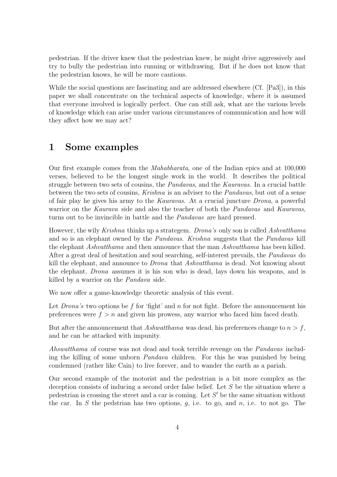pedestrian. If the driver knew that the pedestrian knew, he might drive aggressively and try to bully the pedestrian into running or withdrawing. But if he does not know that the pedestrian knows, he will be more cautious.

While the social questions are fascinating and are addressed elsewhere (Cf. [Pa3]), in this paper we shall concentrate on the technical aspects of knowledge, where it is assumed that everyone involved is logically perfect. One can still ask, what are the various levels of knowledge which can arise under various circumstances of communication and how will they affect how we may act?

### 1 Some examples

Our first example comes from the Mahabharata, one of the Indian epics and at 100,000 verses, believed to be the longest single work in the world. It describes the political struggle between two sets of cousins, the Pandavas, and the Kauravas. In a crucial battle between the two sets of cousins, Krishna is an adviser to the Pandavas, but out of a sense of fair play he gives his army to the Kauravas. At a crucial juncture Drona, a powerful warrior on the Kaurava side and also the teacher of both the *Pandavas* and Kauravas, turns out to be invincible in battle and the Pandavas are hard pressed.

However, the wily Krishna thinks up a strategem. Drona's only son is called Ashvatthama and so is an elephant owned by the Pandavas. Krishna suggests that the Pandavas kill the elephant Ashvatthama and then announce that the man Ashvatthama has been killed. After a great deal of hesitation and soul searching, self-interest prevails, the Pandavas do kill the elephant, and announce to *Drona* that Ashvatthama is dead. Not knowing about the elephant, Drona assumes it is his son who is dead, lays down his weapons, and is killed by a warrior on the Pandava side.

We now offer a game-knowledge theoretic analysis of this event.

Let *Drona's* two options be f for 'fight' and n for not fight. Before the announcement his preferences were  $f > n$  and given his prowess, any warrior who faced him faced death.

But after the announcement that Ashwatthama was dead, his preferences change to  $n > f$ , and he can be attacked with impunity.

Ahswatthama of course was not dead and took terrible revenge on the Pandavas including the killing of some unborn Pandava children. For this he was punished by being condemned (rather like Cain) to live forever, and to wander the earth as a pariah.

Our second example of the motorist and the pedestrian is a bit more complex as the deception consists of inducing a second order false belief. Let S be the situation where a pedestrian is crossing the street and a car is coming. Let  $S'$  be the same situation without the car. In S the pedstrian has two options,  $g$ , i.e. to go, and  $n$ , i.e. to not go. The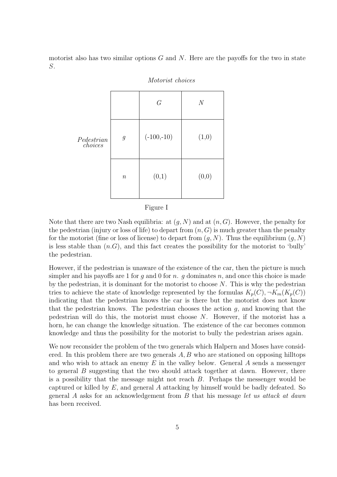motorist also has two similar options  $G$  and  $N$ . Here are the payoffs for the two in state S.

| Pedestrian<br>choices |                                                           | G            | $\mathcal N$ |
|-----------------------|-----------------------------------------------------------|--------------|--------------|
|                       | $\mathcal{G}% _{M_{1},M_{2}}^{\alpha,\beta}(\varepsilon)$ | $(-100,-10)$ | (1,0)        |
|                       | $\it{n}$                                                  | (0,1)        | (0,0)        |

Motorist choices

Figure I

Note that there are two Nash equilibria: at  $(q, N)$  and at  $(n, G)$ . However, the penalty for the pedestrian (injury or loss of life) to depart from  $(n, G)$  is much greater than the penalty for the motorist (fine or loss of license) to depart from  $(g, N)$ . Thus the equilibrium  $(g, N)$ is less stable than  $(n,G)$ , and this fact creates the possibility for the motorist to 'bully' the pedestrian.

However, if the pedestrian is unaware of the existence of the car, then the picture is much simpler and his payoffs are 1 for q and 0 for n. q dominates n, and once this choice is made by the pedestrian, it is dominant for the motorist to choose  $N$ . This is why the pedestrian tries to achieve the state of knowledge represented by the formulas  $K_p(C), \neg K_m(K_p(C))$ indicating that the pedestrian knows the car is there but the motorist does not know that the pedestrian knows. The pedestrian chooses the action  $g$ , and knowing that the pedestrian will do this, the motorist must choose N. However, if the motorist has a horn, he can change the knowledge situation. The existence of the car becomes common knowledge and thus the possibility for the motorist to bully the pedestrian arises again.

We now reconsider the problem of the two generals which Halpern and Moses have considered. In this problem there are two generals  $A, B$  who are stationed on opposing hilltops and who wish to attack an enemy  $E$  in the valley below. General  $A$  sends a messenger to general B suggesting that the two should attack together at dawn. However, there is a possibility that the message might not reach B. Perhaps the messenger would be captured or killed by  $E$ , and general  $A$  attacking by himself would be badly defeated. So general A asks for an acknowledgement from  $B$  that his message let us attack at dawn has been received.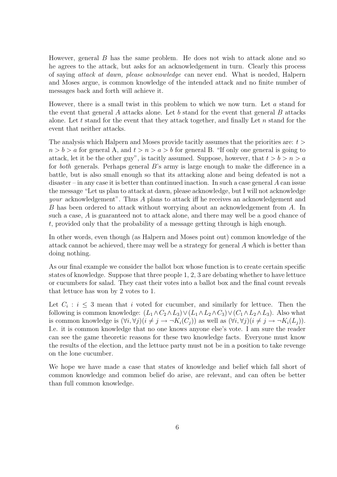However, general  $B$  has the same problem. He does not wish to attack alone and so he agrees to the attack, but asks for an acknowledgement in turn. Clearly this process of saying attack at dawn, please acknowledge can never end. What is needed, Halpern and Moses argue, is common knowledge of the intended attack and no finite number of messages back and forth will achieve it.

However, there is a small twist in this problem to which we now turn. Let a stand for the event that general A attacks alone. Let b stand for the event that general B attacks alone. Let t stand for the event that they attack together, and finally Let  $n$  stand for the event that neither attacks.

The analysis which Halpern and Moses provide tacitly assumes that the priorities are:  $t >$  $n > b > a$  for general A, and  $t > n > a > b$  for general B. "If only one general is going to attack, let it be the other guy", is tacitly assumed. Suppose, however, that  $t > b > n > a$ for both generals. Perhaps general B's army is large enough to make the difference in a battle, but is also small enough so that its attacking alone and being defeated is not a disaster – in any case it is better than continued inaction. In such a case general  $A$  can issue the message "Let us plan to attack at dawn, please acknowledge, but I will not acknowledge your acknowledgement". Thus A plans to attack iff he receives an acknowledgement and B has been ordered to attack without worrying about an acknowledgement from A. In such a case, A is guaranteed not to attack alone, and there may well be a good chance of t, provided only that the probability of a message getting through is high enough.

In other words, even though (as Halpern and Moses point out) common knowledge of the attack cannot be achieved, there may well be a strategy for general A which is better than doing nothing.

As our final example we consider the ballot box whose function is to create certain specific states of knowledge. Suppose that three people 1, 2, 3 are debating whether to have lettuce or cucumbers for salad. They cast their votes into a ballot box and the final count reveals that lettuce has won by 2 votes to 1.

Let  $C_i : i \leq 3$  mean that i voted for cucumber, and similarly for lettuce. Then the following is common knowledge:  $(L_1 \wedge C_2 \wedge L_3) \vee (L_1 \wedge L_2 \wedge C_3) \vee (C_1 \wedge L_2 \wedge L_3)$ . Also what is common knowledge is  $(\forall i, \forall j)(i \neq j \rightarrow \neg K_i(C_i))$  as well as  $(\forall i, \forall j)(i \neq j \rightarrow \neg K_i(L_i)).$ I.e. it is common knowledge that no one knows anyone else's vote. I am sure the reader can see the game theoretic reasons for these two knowledge facts. Everyone must know the results of the election, and the lettuce party must not be in a position to take revenge on the lone cucumber.

We hope we have made a case that states of knowledge and belief which fall short of common knowledge and common belief do arise, are relevant, and can often be better than full common knowledge.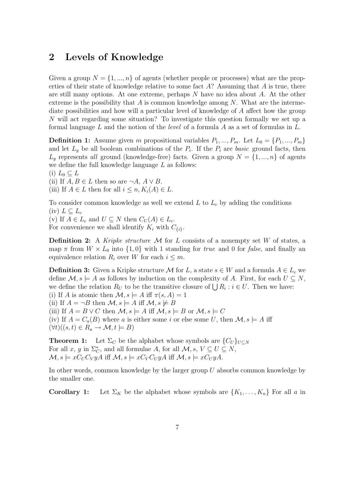## 2 Levels of Knowledge

Given a group  $N = \{1, ..., n\}$  of agents (whether people or processes) what are the properties of their state of knowledge relative to some fact  $A$ ? Assuming that  $A$  is true, there are still many options. At one extreme, perhaps N have no idea about A. At the other extreme is the possibility that A is common knowledge among  $N$ . What are the intermediate possibilities and how will a particular level of knowledge of A affect how the group N will act regarding some situation? To investigate this question formally we set up a formal language L and the notion of the *level* of a formula A as a set of formulas in  $L$ .

**Definition 1:** Assume given m propositional variables  $P_1, ..., P_m$ . Let  $L_0 = \{P_1, ..., P_m\}$ and let  $L_g$  be all boolean combinations of the  $P_i$ . If the  $P_i$  are *basic* ground facts, then  $L_g$  represents all ground (knowledge-free) facts. Given a group  $N = \{1, ..., n\}$  of agents we define the full knowledge language L as follows:

(i)  $L_0 \subseteq L$ (ii) If  $A, B \in L$  then so are  $\neg A, A \vee B$ . (iii) If  $A \in L$  then for all  $i \leq n, K_i(A) \in L$ .

To consider common knowledge as well we extend  $L$  to  $L_c$  by adding the conditions  $(iv) L \subseteq L_c$ 

(v) If  $A \in L_c$  and  $U \subseteq N$  then  $C_U(A) \in L_c$ . For convenience we shall identify  $K_i$  with  $C_{\{i\}}$ .

**Definition 2:** A Kripke structure  $M$  for  $L$  consists of a nonempty set  $W$  of states, a map  $\pi$  from  $W \times L_0$  into  $\{1,0\}$  with 1 standing for true and 0 for false, and finally an equivalence relation  $R_i$  over W for each  $i \leq m$ .

**Definition 3:** Given a Kripke structure M for L, a state  $s \in W$  and a formula  $A \in L_c$  we define  $\mathcal{M}, s \models A$  as follows by induction on the complexity of A. First, for each  $U \subseteq N$ , we define the relation  $R_U$  to be the transitive closure of  $\bigcup R_i : i \in U$ . Then we have: (i) If A is atomic then  $\mathcal{M}, s \models A$  iff  $\pi(s, A) = 1$ (ii) If  $A = \neg B$  then  $\mathcal{M}, s \models A$  iff  $\mathcal{M}, s \not\models B$ (iii) If  $A = B \vee C$  then  $\mathcal{M}, s \models A$  iff  $\mathcal{M}, s \models B$  or  $\mathcal{M}, s \models C$ (iv) If  $A = C_a(B)$  where a is either some i or else some U, then  $\mathcal{M}, s \models A$  iff  $(\forall t)((s,t)\in R_a\rightarrow \mathcal{M}, t\models B)$ 

**Theorem 1:** Let  $\Sigma_C$  be the alphabet whose symbols are  $\{C_U\}_{U\subset N}$ For all  $x, y$  in  $\Sigma_C^*$ , and all formulae A, for all  $\mathcal{M}, s, V \subseteq U \subseteq N$ ,  $\mathcal{M}, s \models xC_U C_V yA$  iff  $\mathcal{M}, s \models xC_V C_U yA$  iff  $\mathcal{M}, s \models xC_U yA$ .

In other words, common knowledge by the larger group  $U$  absorbs common knowledge by the smaller one.

**Corollary 1:** Let  $\Sigma_K$  be the alphabet whose symbols are  $\{K_1, \ldots, K_n\}$  For all a in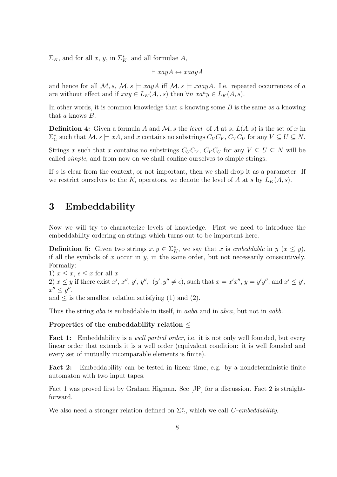$\Sigma_K$ , and for all x, y, in  $\Sigma_K^*$ , and all formulae A,

$$
\vdash xayA \leftrightarrow xaayA
$$

and hence for all  $\mathcal{M}, s, \mathcal{M}, s \models xayA$  iff  $\mathcal{M}, s \models xaayA$ . I.e. repeated occurrences of a are without effect and if  $xay \in L_K(A, s)$  then  $\forall n \; xa^n y \in L_K(A, s)$ .

In other words, it is common knowledge that a knowing some  $B$  is the same as a knowing that a knows B.

**Definition 4:** Given a formula A and M, s the level of A at s,  $L(A, s)$  is the set of x in  $\Sigma_C^*$  such that  $\mathcal{M}, s \models xA$ , and x contains no substrings  $C_U C_V$ ,  $C_V C_U$  for any  $V \subseteq U \subseteq N$ .

Strings x such that x contains no substrings  $C_U C_V$ ,  $C_V C_U$  for any  $V \subseteq U \subseteq N$  will be called simple, and from now on we shall confine ourselves to simple strings.

If s is clear from the context, or not important, then we shall drop it as a parameter. If we restrict ourselves to the  $K_i$  operators, we denote the level of A at s by  $L_K(A, s)$ .

### 3 Embeddability

Now we will try to characterize levels of knowledge. First we need to introduce the embeddability ordering on strings which turns out to be important here.

**Definition 5:** Given two strings  $x, y \in \Sigma_K^*$ , we say that x is embeddable in  $y (x \leq y)$ , if all the symbols of  $x$  occur in  $y$ , in the same order, but not necessarily consecutively. Formally:

1)  $x \leq x, \epsilon \leq x$  for all x 2)  $x \leq y$  if there exist x', x'', y', y'',  $(y', y'' \neq \epsilon)$ , such that  $x = x'x''$ ,  $y = y'y''$ , and  $x' \leq y'$ ,  $x'' \leq y''$ . and  $\leq$  is the smallest relation satisfying (1) and (2).

Thus the string aba is embeddable in itself, in aaba and in abca, but not in aabb.

#### Properties of the embeddability relation  $\leq$

Fact 1: Embeddability is a *well partial order*, i.e. it is not only well founded, but every linear order that extends it is a well order (equivalent condition: it is well founded and every set of mutually incomparable elements is finite).

Fact 2: Embeddability can be tested in linear time, e.g. by a nondeterministic finite automaton with two input tapes.

Fact 1 was proved first by Graham Higman. See [JP] for a discussion. Fact 2 is straightforward.

We also need a stronger relation defined on  $\Sigma_{\mathcal{C}}^*$ , which we call *C*-embeddability.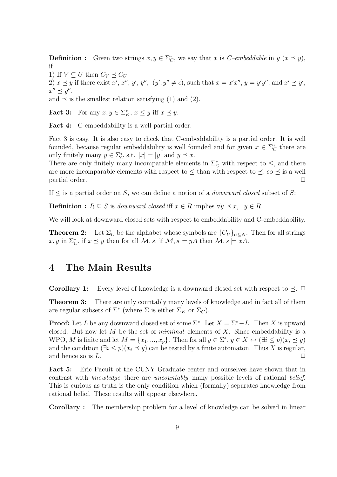**Definition :** Given two strings  $x, y \in \Sigma_c^*$ , we say that x is C-embeddable in  $y (x \leq y)$ , if

1) If  $V \subseteq U$  then  $C_V \preceq C_U$ 

2)  $x \leq y$  if there exist x', x'', y', y'',  $(y', y'' \neq \epsilon)$ , such that  $x = x'x''$ ,  $y = y'y''$ , and  $x' \leq y'$ ,  $x'' \preceq y''$ .

and  $\prec$  is the smallest relation satisfying (1) and (2).

**Fact 3:** For any  $x, y \in \Sigma_K^*$ ,  $x \leq y$  iff  $x \preceq y$ .

Fact 4: C-embeddability is a well partial order.

Fact 3 is easy. It is also easy to check that C-embeddability is a partial order. It is well founded, because regular embeddability is well founded and for given  $x \in \Sigma_C^*$  there are only finitely many  $y \in \Sigma_C^*$  s.t.  $|x| = |y|$  and  $y \preceq x$ .

There are only finitely many incomparable elements in  $\Sigma_C^*$  with respect to  $\leq$ , and there are more incomparable elements with respect to  $\leq$  than with respect to  $\preceq$ , so  $\preceq$  is a well partial order.

If  $\leq$  is a partial order on S, we can define a notion of a *downward closed* subset of S:

**Definition** :  $R \subseteq S$  is downward closed iff  $x \in R$  implies  $\forall y \preceq x, y \in R$ .

We will look at downward closed sets with respect to embeddability and C-embeddability.

**Theorem 2:** Let  $\Sigma_C$  be the alphabet whose symbols are  $\{C_U\}_{U\subseteq N}$ . Then for all strings  $x, y$  in  $\Sigma_C^*$ , if  $x \preceq y$  then for all  $\mathcal{M}, s$ , if  $\mathcal{M}, s \models yA$  then  $\mathcal{M}, s \models xA$ .

### 4 The Main Results

**Corollary 1:** Every level of knowledge is a downward closed set with respect to  $\prec$ .  $\Box$ 

Theorem 3: There are only countably many levels of knowledge and in fact all of them are regular subsets of  $\Sigma^*$  (where  $\Sigma$  is either  $\Sigma_K$  or  $\Sigma_C$ ).

**Proof:** Let L be any downward closed set of some  $\Sigma^*$ . Let  $X = \Sigma^* - L$ . Then X is upward closed. But now let M be the set of mimimal elements of X. Since embeddability is a WPO, M is finite and let  $M = \{x_1, ..., x_p\}$ . Then for all  $y \in \Sigma^*$ ,  $y \in X \leftrightarrow (\exists i \le p)(x_i \preceq y)$ and the condition  $(\exists i \leq p)(x_i \leq y)$  can be tested by a finite automaton. Thus X is regular, and hence so is  $L$ .

Fact 5: Eric Pacuit of the CUNY Graduate center and ourselves have shown that in contrast with knowledge there are uncountably many possible levels of rational belief. This is curious as truth is the only condition which (formally) separates knowledge from rational belief. These results will appear elsewhere.

Corollary : The membership problem for a level of knowledge can be solved in linear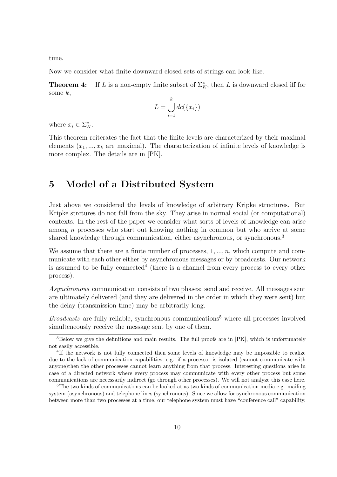time.

Now we consider what finite downward closed sets of strings can look like.

**Theorem 4:** If L is a non-empty finite subset of  $\Sigma_K^*$ , then L is downward closed iff for some  $k$ ,

$$
L = \bigcup_{i=1}^{k} dc(\{x_i\})
$$

where  $x_i \in \Sigma_K^*$ .

This theorem reiterates the fact that the finite levels are characterized by their maximal elements  $(x_1, ..., x_k)$  are maximal). The characterization of infinite levels of knowledge is more complex. The details are in [PK].

## 5 Model of a Distributed System

Just above we considered the levels of knowledge of arbitrary Kripke structures. But Kripke strctures do not fall from the sky. They arise in normal social (or computational) contexts. In the rest of the paper we consider what sorts of levels of knowledge can arise among n processes who start out knowing nothing in common but who arrive at some shared knowledge through communication, either asynchronous, or synchronous.<sup>3</sup>

We assume that there are a finite number of processes,  $1, \ldots, n$ , which compute and communicate with each other either by asynchronous messages or by broadcasts. Our network is assumed to be fully connected<sup>4</sup> (there is a channel from every process to every other process).

Asynchronous communication consists of two phases: send and receive. All messages sent are ultimately delivered (and they are delivered in the order in which they were sent) but the delay (transmission time) may be arbitrarily long.

*Broadcasts* are fully reliable, synchronous communications<sup>5</sup> where all processes involved simulteneously receive the message sent by one of them.

<sup>&</sup>lt;sup>3</sup>Below we give the definitions and main results. The full proofs are in [PK], which is unfortunately not easily accessible.

<sup>&</sup>lt;sup>4</sup>If the network is not fully connected then some levels of knowledge may be impossible to realize due to the lack of communication capabilities, e.g. if a processor is isolated (cannot communicate with anyone)then the other processes cannot learn anything from that process. Interesting questions arise in case of a directed network where every process may communicate with every other process but some communications are necessarily indirect (go through other processes). We will not analyze this case here.

 $5$ The two kinds of communications can be looked at as two kinds of communication media e.g. mailing system (asynchronous) and telephone lines (synchronous). Since we allow for synchronous communication between more than two processes at a time, our telephone system must have "conference call" capability.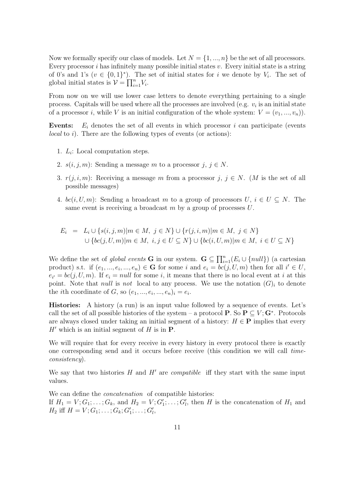Now we formally specify our class of models. Let  $N = \{1, ..., n\}$  be the set of all processors. Every processor  $i$  has infinitely many possible initial states  $v$ . Every initial state is a string of 0's and 1's  $(v \in \{0,1\}^*)$ . The set of initial states for i we denote by  $V_i$ . The set of global initial states is  $\mathcal{V} = \prod_{i=1}^{n} V_i$ .

From now on we will use lower case letters to denote everything pertaining to a single process. Capitals will be used where all the processes are involved (e.g.  $v_i$  is an initial state of a processor *i*, while *V* is an initial configuration of the whole system:  $V = (v_1, ..., v_n)$ .

Events:  $E_i$  denotes the set of all events in which processor i can participate (events  $local to i$ . There are the following types of events (or actions):

- 1.  $L_i$ : Local computation steps.
- 2.  $s(i, j, m)$ : Sending a message m to a processor  $j, j \in N$ .
- 3.  $r(j, i, m)$ : Receiving a message m from a processor  $j, j \in N$ . (M is the set of all possible messages)
- 4.  $bc(i, U, m)$ : Sending a broadcast m to a group of processors  $U, i \in U \subseteq N$ . The same event is receiving a broadcast  $m$  by a group of processes  $U$ .

$$
E_i = L_i \cup \{s(i, j, m) | m \in M, j \in N\} \cup \{r(j, i, m) | m \in M, j \in N\}
$$
  

$$
\cup \{bc(j, U, m) | m \in M, i, j \in U \subseteq N\} \cup \{bc(i, U, m) | m \in M, i \in U \subseteq N\}
$$

We define the set of *global events* **G** in our system.  $\mathbf{G} \subseteq \prod_{i=1}^{n} (E_i \cup \{null\})$  (a cartesian product) s.t. if  $(e_1, ..., e_i, ..., e_n) \in \mathbf{G}$  for some i and  $e_i = bc(j, U, m)$  then for all  $i' \in U$ ,  $e_{i'} = bc(j, U, m)$ . If  $e_i = null$  for some i, it means that there is no local event at i at this point. Note that *null* is not local to any process. We use the notation  $(G)_i$  to denote the *i*th coordinate of  $G$ , so  $(e_1, ..., e_i, ..., e_n)_i = e_i$ .

Histories: A history (a run) is an input value followed by a sequence of events. Let's call the set of all possible histories of the system – a protocol **P**. So  $\mathbf{P} \subseteq V$ ;  $\mathbf{G}^*$ . Protocols are always closed under taking an initial segment of a history:  $H \in \mathbf{P}$  implies that every  $H'$  which is an initial segment of H is in P.

We will require that for every receive in every history in every protocol there is exactly one corresponding send and it occurs before receive (this condition we will call timeconsistency).

We say that two histories  $H$  and  $H'$  are *compatible* iff they start with the same input values.

We can define the *concatenation* of compatible histories: If  $H_1 = V; G_1; \ldots; G_k$ , and  $H_2 = V; G'_1; \ldots; G'_l$ , then H is the concatenation of  $H_1$  and  $H_2$  iff  $H = V; G_1; \ldots; G_k; G'_1; \ldots; G'_l$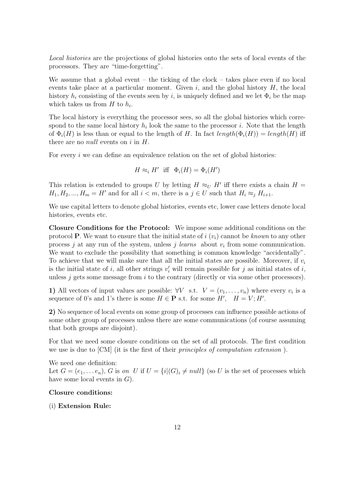Local histories are the projections of global histories onto the sets of local events of the processors. They are "time-forgetting".

We assume that a global event – the ticking of the clock – takes place even if no local events take place at a particular moment. Given  $i$ , and the global history  $H$ , the local history  $h_i$  consisting of the events seen by i, is uniquely defined and we let  $\Phi_i$  be the map which takes us from  $H$  to  $h_i$ .

The local history is everything the processor sees, so all the global histories which correspond to the same local history  $h_i$  look the same to the processor i. Note that the length of  $\Phi_i(H)$  is less than or equal to the length of H. In fact  $length(\Phi_i(H)) = length(H)$  iff there are no *null* events on  $i$  in  $H$ .

For every i we can define an equivalence relation on the set of global histories:

$$
H \approx_i H' \text{ iff } \Phi_i(H) = \Phi_i(H')
$$

This relation is extended to groups U by letting  $H \approx_U H'$  iff there exists a chain  $H =$  $H_1, H_2, ..., H_m = H'$  and for all  $i < m$ , there is a  $j \in U$  such that  $H_i \approx_j H_{i+1}$ .

We use capital letters to denote global histories, events etc, lower case letters denote local histories, events etc.

Closure Conditions for the Protocol: We impose some additional conditions on the protocol **P**. We want to ensure that the initial state of  $i(v_i)$  cannot be known to any other process j at any run of the system, unless j learns about  $v_i$  from some communication. We want to exclude the possibility that something is common knowledge "accidentally". To achieve that we will make sure that all the initial states are possible. Moreover, if  $v_i$ is the initial state of i, all other strings  $v'_i$  will remain possible for j as initial states of i, unless  $j$  gets some message from  $i$  to the contrary (directly or via some other processors).

1) All vectors of input values are possible:  $\forall V$  s.t.  $V = (v_1, \ldots, v_n)$  where every  $v_i$  is a sequence of 0's and 1's there is some  $H \in \mathbf{P}$  s.t. for some  $H', H = V; H'.$ 

2) No sequence of local events on some group of processes can influence possible actions of some other group of processes unless there are some communications (of course assuming that both groups are disjoint).

For that we need some closure conditions on the set of all protocols. The first condition we use is due to [CM] (it is the first of their principles of computation extension ).

We need one definition:

Let  $G = (e_1, \ldots e_n)$ , G is on U if  $U = \{i | (G)_i \neq null\}$  (so U is the set of processes which have some local events in  $G$ ).

#### Closure conditions:

(i) Extension Rule: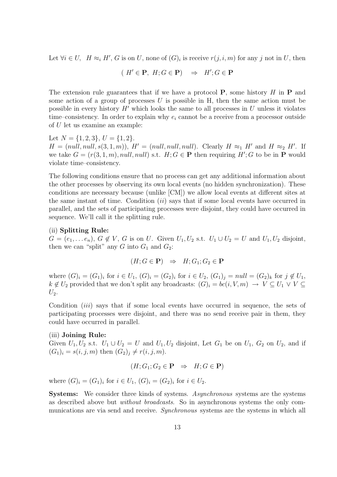Let  $\forall i \in U$ ,  $H \approx_i H'$ , G is on U, none of  $(G)_i$  is receive  $r(j, i, m)$  for any j not in U, then

$$
(H' \in \mathbf{P}, H; G \in \mathbf{P}) \Rightarrow H'; G \in \mathbf{P}
$$

The extension rule guarantees that if we have a protocol  $P$ , some history  $H$  in  $P$  and some action of a group of processes  $U$  is possible in  $H$ , then the same action must be possible in every history  $H'$  which looks the same to all processes in U unless it violates time–consistency. In order to explain why  $e_i$  cannot be a receive from a processor outside of U let us examine an example:

Let  $N = \{1, 2, 3\}, U = \{1, 2\}.$  $H = (null, null, s(3, 1, m)), H' = (null, null, null).$  Clearly  $H \approx_1 H'$  and  $H \approx_2 H'$ . If we take  $G = (r(3, 1, m), null, null)$  s.t.  $H; G \in \mathbf{P}$  then requiring  $H'; G$  to be in  $\mathbf{P}$  would violate time–consistency.

The following conditions ensure that no process can get any additional information about the other processes by observing its own local events (no hidden synchronization). These conditions are necessary because (unlike [CM]) we allow local events at different sites at the same instant of time. Condition  $(ii)$  says that if some local events have occurred in parallel, and the sets of participating processes were disjoint, they could have occurred in sequence. We'll call it the splitting rule.

#### (ii) Splitting Rule:

 $G = (e_1, \ldots e_n)$ ,  $G \notin V$ ,  $G$  is on  $U$ . Given  $U_1, U_2$  s.t.  $U_1 \cup U_2 = U$  and  $U_1, U_2$  disjoint, then we can "split" any G into  $G_1$  and  $G_2$ :

$$
(H; G \in \mathbf{P}) \Rightarrow H; G_1; G_2 \in \mathbf{P}
$$

where  $(G)_i = (G_1)_i$  for  $i \in U_1$ ,  $(G)_i = (G_2)_i$  for  $i \in U_2$ ,  $(G_1)_j = null = (G_2)_k$  for  $j \notin U_1$ ,  $k \notin U_2$  provided that we don't split any broadcasts:  $(G)_i = bc(i, V, m) \rightarrow V \subseteq U_1 \vee V \subseteq$  $U_2$ .

Condition *(iii)* says that if some local events have occurred in sequence, the sets of participating processes were disjoint, and there was no send receive pair in them, they could have occurred in parallel.

#### (iii) Joining Rule:

Given  $U_1, U_2$  s.t.  $U_1 \cup U_2 = U$  and  $U_1, U_2$  disjoint, Let  $G_1$  be on  $U_1, G_2$  on  $U_2$ , and if  $(G_1)_i = s(i, j, m)$  then  $(G_2)_i \neq r(i, j, m)$ .

$$
(H; G_1; G_2 \in \mathbf{P} \Rightarrow H; G \in \mathbf{P})
$$

where  $(G)_i = (G_1)_i$  for  $i \in U_1$ ,  $(G)_i = (G_2)_i$  for  $i \in U_2$ .

Systems: We consider three kinds of systems. Asynchronous systems are the systems as described above but without broadcasts. So in asynchronous systems the only communications are via send and receive. Synchronous systems are the systems in which all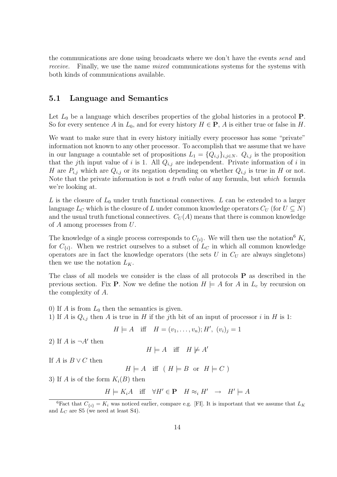the communications are done using broadcasts where we don't have the events send and receive. Finally, we use the name *mixed* communications systems for the systems with both kinds of communications available.

### 5.1 Language and Semantics

Let  $L_0$  be a language which describes properties of the global histories in a protocol **P**. So for every sentence A in  $L_0$ , and for every history  $H \in \mathbf{P}$ , A is either true or false in H.

We want to make sure that in every history initially every processor has some "private" information not known to any other processor. To accomplish that we assume that we have in our language a countable set of propositions  $L_1 = \{Q_{i,j}\}_{i,j \in N}$ .  $Q_{i,j}$  is the proposition that the jth input value of i is 1. All  $Q_{i,j}$  are independent. Private information of i in H are  $P_{i,j}$  which are  $Q_{i,j}$  or its negation depending on whether  $Q_{i,j}$  is true in H or not. Note that the private information is not a truth value of any formula, but which formula we're looking at.

L is the closure of  $L_0$  under truth functional connectives. L can be extended to a larger language  $L_C$  which is the closure of L under common knowledge operators  $C_U$  (for  $U \subseteq N$ ) and the usual truth functional connectives.  $C_U(A)$  means that there is common knowledge of A among processes from U.

The knowledge of a single process corresponds to  $C_{\{i\}}$ . We will then use the notation<sup>6</sup>  $K_i$ for  $C_{\{i\}}$ . When we restrict ourselves to a subset of  $L_C$  in which all common knowledge operators are in fact the knowledge operators (the sets  $U$  in  $C_U$  are always singletons) then we use the notation  $L_K$ .

The class of all models we consider is the class of all protocols P as described in the previous section. Fix **P**. Now we define the notion  $H \models A$  for A in  $L_c$  by recursion on the complexity of A.

- 0) If A is from  $L_0$  then the semantics is given.
- 1) If A is  $Q_{i,j}$  then A is true in H if the jth bit of an input of processor i in H is 1:

$$
H \models A
$$
 iff  $H = (v_1, ..., v_n); H', (v_i)_j = 1$ 

2) If A is  $\neg A'$  then

$$
H \models A \quad \text{iff} \quad H \not\models A'
$$

If A is  $B \vee C$  then

 $H \models A$  iff  $(H \models B$  or  $H \models C$ )

3) If A is of the form  $K_i(B)$  then

 $H \models K_iA$  iff  $\forall H' \in \mathbf{P}$   $H \approx_i H' \rightarrow H' \models A$ 

<sup>&</sup>lt;sup>6</sup>Fact that  $C_{\{i\}} = K_i$  was noticed earlier, compare e.g. [FI]. It is important that we assume that  $L_K$ and  $L_C$  are S5 (we need at least S4).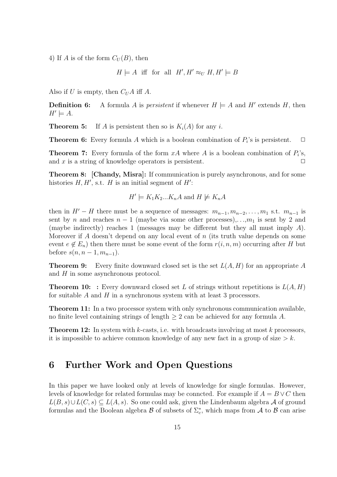4) If A is of the form  $C_U(B)$ , then

 $H \models A$  iff for all  $H', H' \approx_U H, H' \models B$ 

Also if U is empty, then  $C_U A$  iff A.

**Definition 6:** A formula A is persistent if whenever  $H \models A$  and  $H'$  extends H, then  $H' \models A$ .

**Theorem 5:** If A is persistent then so is  $K_i(A)$  for any i.

**Theorem 6:** Every formula A which is a boolean combination of  $P_i$ 's is persistent.  $\Box$ 

**Theorem 7:** Every formula of the form  $xA$  where A is a boolean combination of  $P_i$ 's, and x is a string of knowledge operators is persistent.  $\Box$ 

Theorem 8: [Chandy, Misra]: If communication is purely asynchronous, and for some histories  $H, H',$  s.t.  $H$  is an initial segment of  $H'$ :

$$
H' \models K_1K_2...K_nA \text{ and } H \not\models K_nA
$$

then in  $H'-H$  there must be a sequence of messages:  $m_{n-1}, m_{n-2}, \ldots, m_1$  s.t.  $m_{n-1}$  is sent by n and reaches  $n-1$  (maybe via some other processes),..., $m_1$  is sent by 2 and (maybe indirectly) reaches 1 (messages may be different but they all must imply  $\hat{A}$ ). Moreover if A doesn't depend on any local event of n (its truth value depends on some event  $e \notin E_n$ ) then there must be some event of the form  $r(i, n, m)$  occurring after H but before  $s(n, n - 1, m_{n-1})$ .

**Theorem 9:** Every finite downward closed set is the set  $L(A, H)$  for an appropriate A and H in some asynchronous protocol.

**Theorem 10:** : Every downward closed set L of strings without repetitions is  $L(A, H)$ for suitable  $A$  and  $H$  in a synchronous system with at least 3 processors.

Theorem 11: In a two processor system with only synchronous communication available, no finite level containing strings of length  $\geq 2$  can be achieved for any formula A.

**Theorem 12:** In system with k-casts, i.e. with broadcasts involving at most  $k$  processors, it is impossible to achieve common knowledge of any new fact in a group of size  $\geq k$ .

### 6 Further Work and Open Questions

In this paper we have looked only at levels of knowledge for single formulas. However, levels of knowledge for related formulas may be conncted. For example if  $A = B \vee C$  then  $L(B, s) \cup L(C, s) \subseteq L(A, s)$ . So one could ask, given the Lindenbaum algebra A of ground formulas and the Boolean algebra  $\mathcal B$  of subsets of  $\Sigma_c^*$ , which maps from  $\mathcal A$  to  $\mathcal B$  can arise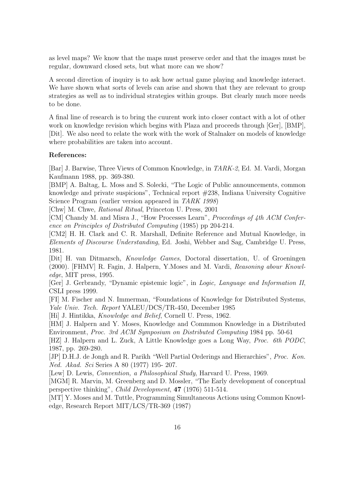as level maps? We know that the maps must preserve order and that the images must be regular, downward closed sets, but what more can we show?

A second direction of inquiry is to ask how actual game playing and knowledge interact. We have shown what sorts of levels can arise and shown that they are relevant to group strategies as well as to individual strategies within groups. But clearly much more needs to be done.

A final line of research is to bring the cuurent work into closer contact with a lot of other work on knowledge revision which begins with Plaza and proceeds through [Ger], [BMP], [Dit]. We also need to relate the work with the work of Stalnaker on models of knowledge where probabilities are taken into account.

#### References:

[Bar] J. Barwise, Three Views of Common Knowledge, in TARK-2, Ed. M. Vardi, Morgan Kaufmann 1988, pp. 369-380.

[BMP] A. Baltag, L. Moss and S. Solecki, "The Logic of Public announcements, common knowledge and private suspicions", Technical report #238, Indiana University Cognitive Science Program (earlier version appeared in TARK 1998)

[Chw] M. Chwe, Rational Ritual, Princeton U. Press, 2001

[CM] Chandy M. and Misra J., "How Processes Learn", Proceedings of 4th ACM Conference on Principles of Distributed Computing (1985) pp 204-214.

[CM2] H. H. Clark and C. R. Marshall, Definite Reference and Mutual Knowledge, in Elements of Discourse Understanding, Ed. Joshi, Webber and Sag, Cambridge U. Press, 1981.

[Dit] H. van Ditmarsch, Knowledge Games, Doctoral dissertation, U. of Groeningen (2000). [FHMV] R. Fagin, J. Halpern, Y.Moses and M. Vardi, Reasoning abour Knowledge, MIT press, 1995.

[Ger] J. Gerbrandy, "Dynamic epistemic logic", in Logic, Language and Information II, CSLI press 1999.

[FI] M. Fischer and N. Immerman, "Foundations of Knowledge for Distributed Systems, Yale Univ. Tech. Report YALEU/DCS/TR-450, December 1985

[Hi] J. Hintikka, Knowledge and Belief, Cornell U. Press, 1962.

[HM] J. Halpern and Y. Moses, Knowledge and Commmon Knowledge in a Distributed Environment, Proc. 3rd ACM Symposium on Distributed Computing 1984 pp. 50-61

[HZ] J. Halpern and L. Zuck, A Little Knowledge goes a Long Way, Proc. 6th PODC, 1987, pp. 269-280.

[JP] D.H.J. de Jongh and R. Parikh "Well Partial Orderings and Hierarchies", Proc. Kon. Ned. Akad. Sci Series A 80 (1977) 195- 207.

[Lew] D. Lewis, Convention, a Philosophical Study, Harvard U. Press, 1969.

[MGM] R. Marvin, M. Greenberg and D. Mossler, "The Early development of conceptual perspective thinking", Child Development, 47 (1976) 511-514.

[MT] Y. Moses and M. Tuttle, Programming Simultaneous Actions using Common Knowledge, Research Report MIT/LCS/TR-369 (1987)